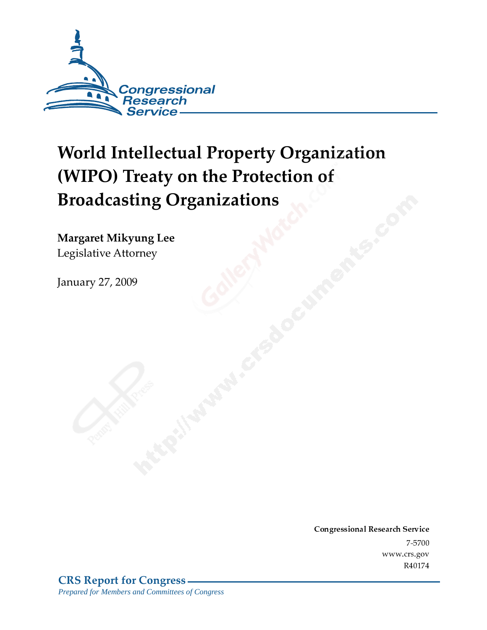

# **World Intellectual Property Organization** (WIPO) Treaty on the Protection of **Broadcasting Organizations**

Margaret Mikyung Lee Legislative Attorney

**January 27, 2009** 

Conglessional Research Service  $7 - 2700$ www.crs.gov R40174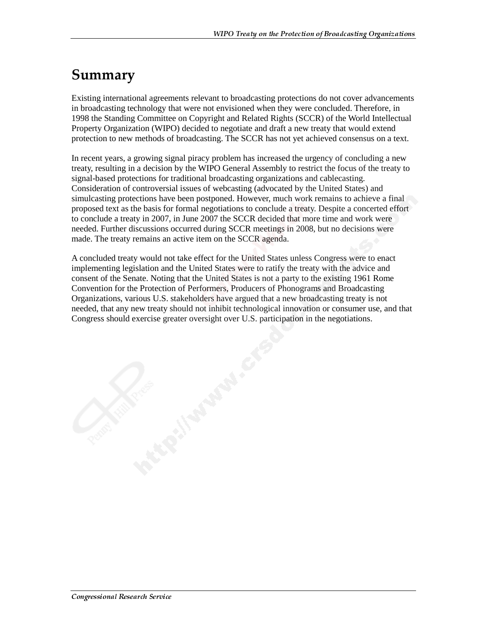#### Summary

Existing international agreements relevant to broadcasting protections do not cover advancements in broadcasting technology that were not envisioned when they were concluded. Therefore, in 1998 the Standing Committee on Copyright and Related Rights (SCCR) of the World Intellectual Property Organization (WIPO) decided to negotiate and draft a new treaty that would extend protection to new methods of broadcasting. The SCCR has not yet achieved consensus on a text.

In recent years, a growing signal piracy problem has increased the urgency of concluding a new treaty, resulting in a decision by the WIPO General Assembly to restrict the focus of the treaty to signal-based protections for traditional broadcasting organizations and cablecasting. Consideration of controversial issues of webcasting (advocated by the United States) and simulcasting protections have been postponed. However, much work remains to achieve a final proposed text as the basis for formal negotiations to conclude a treaty. Despite a concerted effort to conclude a treaty in 2007, in June 2007 the SCCR decided that more time and work were needed. Further discussions occurred during SCCR meetings in 2008, but no decisions were made. The treaty remains an active item on the SCCR agenda.

A concluded treaty would not take effect for the United States unless Congress were to enact implementing legislation and the United States were to ratify the treaty with the advice and consent of the Senate. Noting that the United States is not a party to the existing 1961 Rome Convention for the Protection of Performers, Producers of Phonograms and Broadcasting Organizations, various U.S. stakeholders have argued that a new broadcasting treaty is not needed, that any new treaty should not inhibit technological innovation or consumer use, and that Congress should exercise greater oversight over U.S. participation in the negotiations.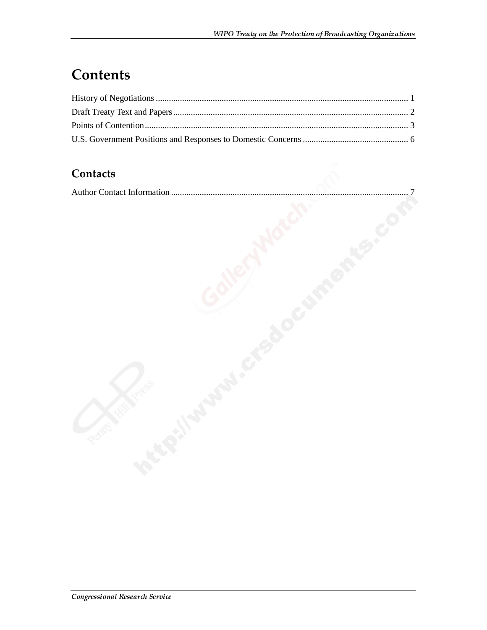### **Contents**

#### Contacts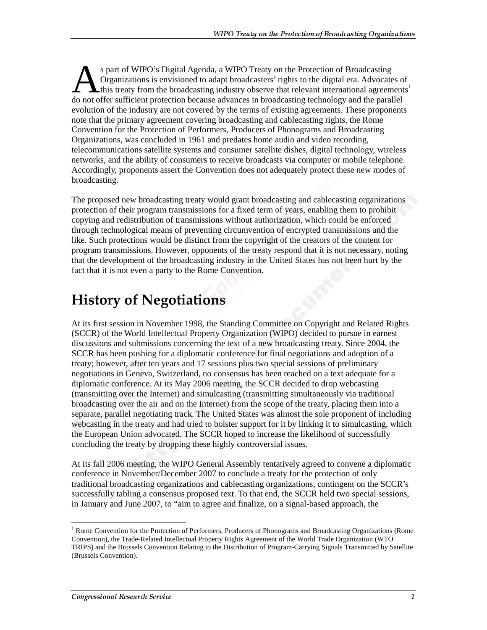s part of WIPO's Digital Agenda, a WIPO Treaty on the Protection of Broadcasting Organizations is envisioned to adapt broadcasters' rights to the digital era. Advocates of this treaty from the broadcasting industry observe that relevant international agreements<sup>1</sup> s part of WIPO's Digital Agenda, a WIPO Treaty on the Protection of Broadcasting<br>Organizations is envisioned to adapt broadcasters' rights to the digital era. Advocates of<br>this treaty from the broadcasting industry observe evolution of the industry are not covered by the terms of existing agreements. These proponents note that the primary agreement covering broadcasting and cablecasting rights, the Rome Convention for the Protection of Performers, Producers of Phonograms and Broadcasting Organizations, was concluded in 1961 and predates home audio and video recording, telecommunications satellite systems and consumer satellite dishes, digital technology, wireless networks, and the ability of consumers to receive broadcasts via computer or mobile telephone. Accordingly, proponents assert the Convention does not adequately protect these new modes of broadcasting.

The proposed new broadcasting treaty would grant broadcasting and cablecasting organizations protection of their program transmissions for a fixed term of years, enabling them to prohibit copying and redistribution of transmissions without authorization, which could be enforced through technological means of preventing circumvention of encrypted transmissions and the like. Such protections would be distinct from the copyright of the creators of the content for program transmissions. However, opponents of the treaty respond that it is not necessary, noting that the development of the broadcasting industry in the United States has not been hurt by the fact that it is not even a party to the Rome Convention.

#### **History of Negotiations**

At its first session in November 1998, the Standing Committee on Copyright and Related Rights (SCCR) of the World Intellectual Property Organization (WIPO) decided to pursue in earnest discussions and submissions concerning the text of a new broadcasting treaty. Since 2004, the SCCR has been pushing for a diplomatic conference for final negotiations and adoption of a treaty; however, after ten years and 17 sessions plus two special sessions of preliminary negotiations in Geneva, Switzerland, no consensus has been reached on a text adequate for a diplomatic conference. At its May 2006 meeting, the SCCR decided to drop webcasting (transmitting over the Internet) and simulcasting (transmitting simultaneously via traditional broadcasting over the air and on the Internet) from the scope of the treaty, placing them into a separate, parallel negotiating track. The United States was almost the sole proponent of including webcasting in the treaty and had tried to bolster support for it by linking it to simulcasting, which the European Union advocated. The SCCR hoped to increase the likelihood of successfully concluding the treaty by dropping these highly controversial issues.

At its fall 2006 meeting, the WIPO General Assembly tentatively agreed to convene a diplomatic conference in November/December 2007 to conclude a treaty for the protection of only traditional broadcasting organizations and cablecasting organizations, contingent on the SCCR's successfully tabling a consensus proposed text. To that end, the SCCR held two special sessions, in January and June 2007, to "aim to agree and finalize, on a signal-based approach, the

 $\overline{a}$ <sup>1</sup> Rome Convention for the Protection of Performers, Producers of Phonograms and Broadcasting Organizations (Rome Convention), the Trade-Related Intellectual Property Rights Agreement of the World Trade Organization (WTO TRIPS) and the Brussels Convention Relating to the Distribution of Program-Carrying Signals Transmitted by Satellite (Brussels Convention).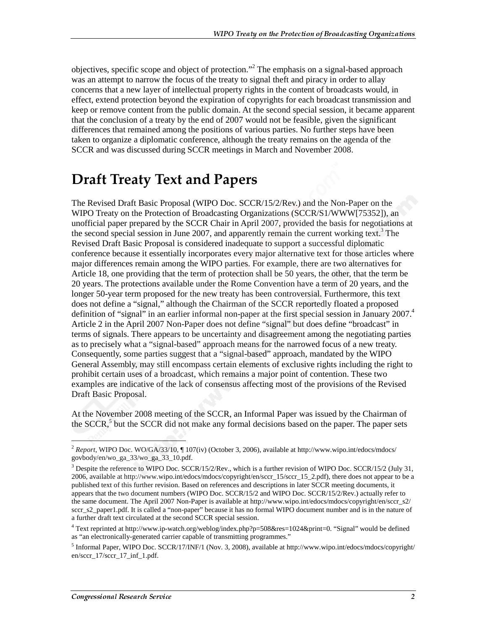objectives, specific scope and object of protection."<sup>2</sup> The emphasis on a signal-based approach was an attempt to narrow the focus of the treaty to signal theft and piracy in order to allay concerns that a new layer of intellectual property rights in the content of broadcasts would, in effect, extend protection beyond the expiration of copyrights for each broadcast transmission and keep or remove content from the public domain. At the second special session, it became apparent that the conclusion of a treaty by the end of 2007 would not be feasible, given the significant differences that remained among the positions of various parties. No further steps have been taken to organize a diplomatic conference, although the treaty remains on the agenda of the SCCR and was discussed during SCCR meetings in March and November 2008.

#### **Draft Treaty Text and Papers**

The Revised Draft Basic Proposal (WIPO Doc. SCCR/15/2/Rev.) and the Non-Paper on the WIPO Treaty on the Protection of Broadcasting Organizations (SCCR/S1/WWW[75352]), an unofficial paper prepared by the SCCR Chair in April 2007, provided the basis for negotiations at the second special session in June 2007, and apparently remain the current working text.<sup>3</sup> The Revised Draft Basic Proposal is considered inadequate to support a successful diplomatic conference because it essentially incorporates every major alternative text for those articles where major differences remain among the WIPO parties. For example, there are two alternatives for Article 18, one providing that the term of protection shall be 50 years, the other, that the term be 20 years. The protections available under the Rome Convention have a term of 20 years, and the longer 50-year term proposed for the new treaty has been controversial. Furthermore, this text does not define a "signal," although the Chairman of the SCCR reportedly floated a proposed definition of "signal" in an earlier informal non-paper at the first special session in January 2007.<sup>4</sup> Article 2 in the April 2007 Non-Paper does not define "signal" but does define "broadcast" in terms of signals. There appears to be uncertainty and disagreement among the negotiating parties as to precisely what a "signal-based" approach means for the narrowed focus of a new treaty. Consequently, some parties suggest that a "signal-based" approach, mandated by the WIPO General Assembly, may still encompass certain elements of exclusive rights including the right to prohibit certain uses of a broadcast, which remains a major point of contention. These two examples are indicative of the lack of consensus affecting most of the provisions of the Revised Draft Basic Proposal.

At the November 2008 meeting of the SCCR, an Informal Paper was issued by the Chairman of the  $SCCR$ ,<sup>5</sup> but the  $SCCR$  did not make any formal decisions based on the paper. The paper sets

 $\overline{a}$ 

<sup>2</sup> *Report*, WIPO Doc. WO/GA/33/10, ¶ 107(iv) (October 3, 2006), available at http://www.wipo.int/edocs/mdocs/ govbody/en/wo\_ga\_33/wo\_ga\_33\_10.pdf.

 $3$  Despite the reference to WIPO Doc. SCCR/15/2/Rev., which is a further revision of WIPO Doc. SCCR/15/2 (July 31, 2006, available at http://www.wipo.int/edocs/mdocs/copyright/en/sccr\_15/sccr\_15\_2.pdf), there does not appear to be a published text of this further revision. Based on references and descriptions in later SCCR meeting documents, it appears that the two document numbers (WIPO Doc. SCCR/15/2 and WIPO Doc. SCCR/15/2/Rev.) actually refer to the same document. The April 2007 Non-Paper is available at http://www.wipo.int/edocs/mdocs/copyright/en/sccr\_s2/ sccr s2 paper1.pdf. It is called a "non-paper" because it has no formal WIPO document number and is in the nature of a further draft text circulated at the second SCCR special session.

<sup>4</sup> Text reprinted at http://www.ip-watch.org/weblog/index.php?p=508&res=1024&print=0. "Signal" would be defined as "an electronically-generated carrier capable of transmitting programmes."

<sup>5</sup> Informal Paper, WIPO Doc. SCCR/17/INF/1 (Nov. 3, 2008), available at http://www.wipo.int/edocs/mdocs/copyright/ en/sccr\_17/sccr\_17\_inf\_1.pdf.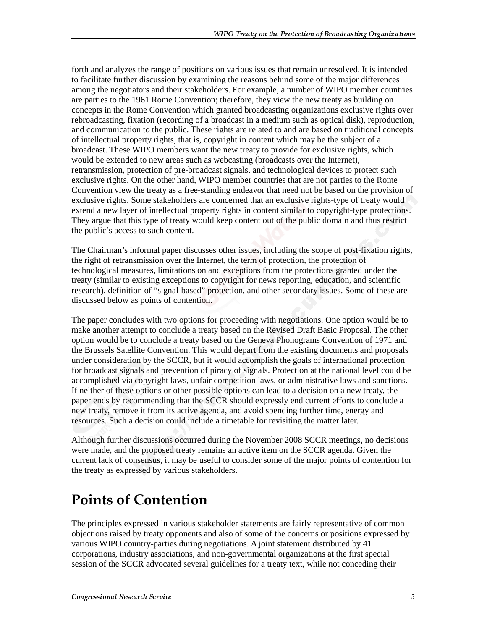forth and analyzes the range of positions on various issues that remain unresolved. It is intended to facilitate further discussion by examining the reasons behind some of the major differences among the negotiators and their stakeholders. For example, a number of WIPO member countries are parties to the 1961 Rome Convention; therefore, they view the new treaty as building on concepts in the Rome Convention which granted broadcasting organizations exclusive rights over rebroadcasting, fixation (recording of a broadcast in a medium such as optical disk), reproduction, and communication to the public. These rights are related to and are based on traditional concepts of intellectual property rights, that is, copyright in content which may be the subject of a broadcast. These WIPO members want the new treaty to provide for exclusive rights, which would be extended to new areas such as webcasting (broadcasts over the Internet), retransmission, protection of pre-broadcast signals, and technological devices to protect such exclusive rights. On the other hand, WIPO member countries that are not parties to the Rome Convention view the treaty as a free-standing endeavor that need not be based on the provision of exclusive rights. Some stakeholders are concerned that an exclusive rights-type of treaty would extend a new layer of intellectual property rights in content similar to copyright-type protections. They argue that this type of treaty would keep content out of the public domain and thus restrict the public's access to such content.

The Chairman's informal paper discusses other issues, including the scope of post-fixation rights, the right of retransmission over the Internet, the term of protection, the protection of technological measures, limitations on and exceptions from the protections granted under the treaty (similar to existing exceptions to copyright for news reporting, education, and scientific research), definition of "signal-based" protection, and other secondary issues. Some of these are discussed below as points of contention.

The paper concludes with two options for proceeding with negotiations. One option would be to make another attempt to conclude a treaty based on the Revised Draft Basic Proposal. The other option would be to conclude a treaty based on the Geneva Phonograms Convention of 1971 and the Brussels Satellite Convention. This would depart from the existing documents and proposals under consideration by the SCCR, but it would accomplish the goals of international protection for broadcast signals and prevention of piracy of signals. Protection at the national level could be accomplished via copyright laws, unfair competition laws, or administrative laws and sanctions. If neither of these options or other possible options can lead to a decision on a new treaty, the paper ends by recommending that the SCCR should expressly end current efforts to conclude a new treaty, remove it from its active agenda, and avoid spending further time, energy and resources. Such a decision could include a timetable for revisiting the matter later.

Although further discussions occurred during the November 2008 SCCR meetings, no decisions were made, and the proposed treaty remains an active item on the SCCR agenda. Given the current lack of consensus, it may be useful to consider some of the major points of contention for the treaty as expressed by various stakeholders.

## **Points of Contention**

The principles expressed in various stakeholder statements are fairly representative of common objections raised by treaty opponents and also of some of the concerns or positions expressed by various WIPO country-parties during negotiations. A joint statement distributed by 41 corporations, industry associations, and non-governmental organizations at the first special session of the SCCR advocated several guidelines for a treaty text, while not conceding their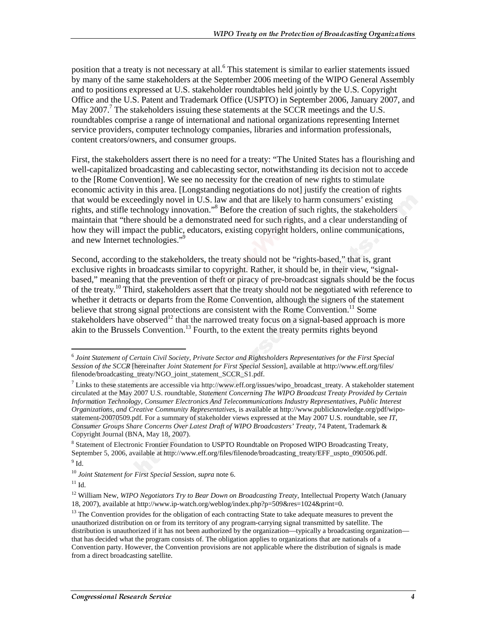position that a treaty is not necessary at all.<sup>6</sup> This statement is similar to earlier statements issued by many of the same stakeholders at the September 2006 meeting of the WIPO General Assembly and to positions expressed at U.S. stakeholder roundtables held jointly by the U.S. Copyright Office and the U.S. Patent and Trademark Office (USPTO) in September 2006, January 2007, and May 2007.<sup>7</sup> The stakeholders issuing these statements at the SCCR meetings and the U.S. roundtables comprise a range of international and national organizations representing Internet service providers, computer technology companies, libraries and information professionals, content creators/owners, and consumer groups.

First, the stakeholders assert there is no need for a treaty: "The United States has a flourishing and well-capitalized broadcasting and cablecasting sector, notwithstanding its decision not to accede to the [Rome Convention]. We see no necessity for the creation of new rights to stimulate economic activity in this area. [Longstanding negotiations do not] justify the creation of rights that would be exceedingly novel in U.S. law and that are likely to harm consumers' existing rights, and stifle technology innovation."<sup>8</sup> Before the creation of such rights, the stakeholders maintain that "there should be a demonstrated need for such rights, and a clear understanding of how they will impact the public, educators, existing copyright holders, online communications, and new Internet technologies."9

Second, according to the stakeholders, the treaty should not be "rights-based," that is, grant exclusive rights in broadcasts similar to copyright. Rather, it should be, in their view, "signalbased," meaning that the prevention of theft or piracy of pre-broadcast signals should be the focus of the treaty.<sup>10</sup> Third, stakeholders assert that the treaty should not be negotiated with reference to whether it detracts or departs from the Rome Convention, although the signers of the statement believe that strong signal protections are consistent with the Rome Convention.<sup>11</sup> Some stakeholders have observed<sup>12</sup> that the narrowed treaty focus on a signal-based approach is more  $\frac{1}{2}$  akin to the Brussels Convention.<sup>13</sup> Fourth, to the extent the treaty permits rights beyond

 $\overline{a}$ <sup>6</sup> *Joint Statement of Certain Civil Society, Private Sector and Rightsholders Representatives for the First Special Session of the SCCR* [hereinafter *Joint Statement for First Special Session*], available at http://www.eff.org/files/ filenode/broadcasting\_treaty/NGO\_joint\_statement\_SCCR\_S1.pdf.

 $^7$  Links to these statements are accessible via http://www.eff.org/issues/wipo\_broadcast\_treaty. A stakeholder statement circulated at the May 2007 U.S. roundtable, *Statement Concerning The WIPO Broadcast Treaty Provided by Certain Information Technology, Consumer Electronics And Telecommunications Industry Representatives, Public Interest Organizations, and Creative Community Representatives*, is available at http://www.publicknowledge.org/pdf/wipostatement-20070509.pdf. For a summary of stakeholder views expressed at the May 2007 U.S. roundtable, see *IT, Consumer Groups Share Concerns Over Latest Draft of WIPO Broadcasters' Treaty*, 74 Patent, Trademark & Copyright Journal (BNA, May 18, 2007).

<sup>&</sup>lt;sup>8</sup> Statement of Electronic Frontier Foundation to USPTO Roundtable on Proposed WIPO Broadcasting Treaty, September 5, 2006, available at http://www.eff.org/files/filenode/broadcasting\_treaty/EFF\_uspto\_090506.pdf.  $^9$  Id.

<sup>10</sup> *Joint Statement for First Special Session*, *supra* note 6.

 $11$  Id.

<sup>&</sup>lt;sup>12</sup> William New, *WIPO Negotiators Try to Bear Down on Broadcasting Treaty*, Intellectual Property Watch (January 18, 2007), available at http://www.ip-watch.org/weblog/index.php?p=509&res=1024&print=0.

<sup>&</sup>lt;sup>13</sup> The Convention provides for the obligation of each contracting State to take adequate measures to prevent the unauthorized distribution on or from its territory of any program-carrying signal transmitted by satellite. The distribution is unauthorized if it has not been authorized by the organization—typically a broadcasting organization that has decided what the program consists of. The obligation applies to organizations that are nationals of a Convention party. However, the Convention provisions are not applicable where the distribution of signals is made from a direct broadcasting satellite.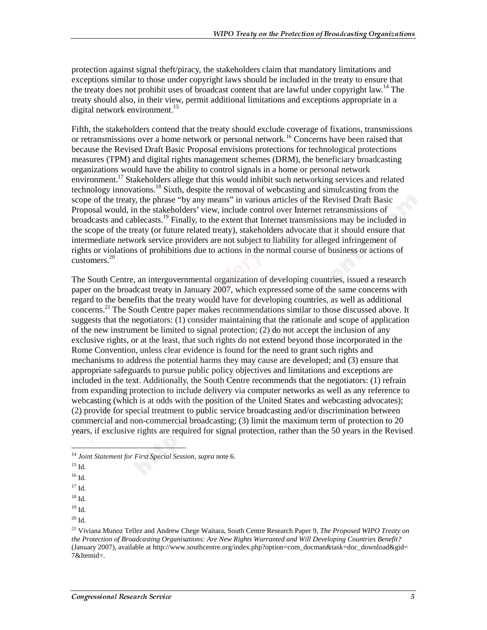protection against signal theft/piracy, the stakeholders claim that mandatory limitations and exceptions similar to those under copyright laws should be included in the treaty to ensure that the treaty does not prohibit uses of broadcast content that are lawful under copyright law.<sup>14</sup> The treaty should also, in their view, permit additional limitations and exceptions appropriate in a digital network environment.<sup>15</sup>

Fifth, the stakeholders contend that the treaty should exclude coverage of fixations, transmissions or retransmissions over a home network or personal network.<sup>16</sup> Concerns have been raised that because the Revised Draft Basic Proposal envisions protections for technological protections measures (TPM) and digital rights management schemes (DRM), the beneficiary broadcasting organizations would have the ability to control signals in a home or personal network environment.<sup>17</sup> Stakeholders allege that this would inhibit such networking services and related technology innovations.<sup>18</sup> Sixth, despite the removal of webcasting and simulcasting from the scope of the treaty, the phrase "by any means" in various articles of the Revised Draft Basic Proposal would, in the stakeholders' view, include control over Internet retransmissions of broadcasts and cablecasts.<sup>19</sup> Finally, to the extent that Internet transmissions may be included in the scope of the treaty (or future related treaty), stakeholders advocate that it should ensure that intermediate network service providers are not subject to liability for alleged infringement of rights or violations of prohibitions due to actions in the normal course of business or actions of customers.20

The South Centre, an intergovernmental organization of developing countries, issued a research paper on the broadcast treaty in January 2007, which expressed some of the same concerns with regard to the benefits that the treaty would have for developing countries, as well as additional concerns.<sup>21</sup> The South Centre paper makes recommendations similar to those discussed above. It suggests that the negotiators: (1) consider maintaining that the rationale and scope of application of the new instrument be limited to signal protection; (2) do not accept the inclusion of any exclusive rights, or at the least, that such rights do not extend beyond those incorporated in the Rome Convention, unless clear evidence is found for the need to grant such rights and mechanisms to address the potential harms they may cause are developed; and (3) ensure that appropriate safeguards to pursue public policy objectives and limitations and exceptions are included in the text. Additionally, the South Centre recommends that the negotiators: (1) refrain from expanding protection to include delivery via computer networks as well as any reference to webcasting (which is at odds with the position of the United States and webcasting advocates); (2) provide for special treatment to public service broadcasting and/or discrimination between commercial and non-commercial broadcasting; (3) limit the maximum term of protection to 20 years, if exclusive rights are required for signal protection, rather than the 50 years in the Revised

 $\overline{a}$ 

<sup>14</sup> *Joint Statement for First Special Session*, *supra* note 6.

 $15$  Id.

 $16$  Id.

 $17 \text{ Id.}$ 

 $18$  Id.

 $19$  Id.

 $20$  Id.

<sup>21</sup> Viviana Munoz Tellez and Andrew Chege Waitara, South Centre Research Paper 9, *The Proposed WIPO Treaty on the Protection of Broadcasting Organisations: Are New Rights Warranted and Will Developing Countries Benefit?* (January 2007), available at http://www.southcentre.org/index.php?option=com\_docman&task=doc\_download&gid= 7&Itemid=.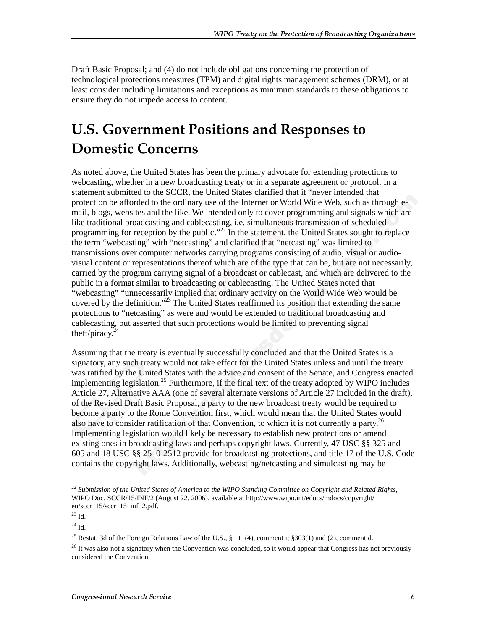Draft Basic Proposal; and (4) do not include obligations concerning the protection of technological protections measures (TPM) and digital rights management schemes (DRM), or at least consider including limitations and exceptions as minimum standards to these obligations to ensure they do not impede access to content.

### **U.S. Government Positions and Responses to Domestic Concerns**

As noted above, the United States has been the primary advocate for extending protections to webcasting, whether in a new broadcasting treaty or in a separate agreement or protocol. In a statement submitted to the SCCR, the United States clarified that it "never intended that protection be afforded to the ordinary use of the Internet or World Wide Web, such as through email, blogs, websites and the like. We intended only to cover programming and signals which are like traditional broadcasting and cablecasting, i.e. simultaneous transmission of scheduled programming for reception by the public."<sup>22</sup> In the statement, the United States sought to replace the term "webcasting" with "netcasting" and clarified that "netcasting" was limited to transmissions over computer networks carrying programs consisting of audio, visual or audiovisual content or representations thereof which are of the type that can be, but are not necessarily, carried by the program carrying signal of a broadcast or cablecast, and which are delivered to the public in a format similar to broadcasting or cablecasting. The United States noted that "webcasting" "unnecessarily implied that ordinary activity on the World Wide Web would be covered by the definition."<sup>23</sup> The United States reaffirmed its position that extending the same protections to "netcasting" as were and would be extended to traditional broadcasting and cablecasting, but asserted that such protections would be limited to preventing signal theft/piracy. $^{24}$ 

Assuming that the treaty is eventually successfully concluded and that the United States is a signatory, any such treaty would not take effect for the United States unless and until the treaty was ratified by the United States with the advice and consent of the Senate, and Congress enacted implementing legislation.<sup>25</sup> Furthermore, if the final text of the treaty adopted by WIPO includes Article 27, Alternative AAA (one of several alternate versions of Article 27 included in the draft), of the Revised Draft Basic Proposal, a party to the new broadcast treaty would be required to become a party to the Rome Convention first, which would mean that the United States would also have to consider ratification of that Convention, to which it is not currently a party.<sup>26</sup> Implementing legislation would likely be necessary to establish new protections or amend existing ones in broadcasting laws and perhaps copyright laws. Currently, 47 USC §§ 325 and 605 and 18 USC §§ 2510-2512 provide for broadcasting protections, and title 17 of the U.S. Code contains the copyright laws. Additionally, webcasting/netcasting and simulcasting may be

 $\overline{a}$ <sup>22</sup> *Submission of the United States of America to the WIPO Standing Committee on Copyright and Related Rights*, WIPO Doc. SCCR/15/INF/2 (August 22, 2006), available at http://www.wipo.int/edocs/mdocs/copyright/ en/sccr\_15/sccr\_15\_inf\_2.pdf.

<sup>23</sup> Id.

 $^{24}$  Id.

<sup>&</sup>lt;sup>25</sup> Restat. 3d of the Foreign Relations Law of the U.S., § 111(4), comment i; §303(1) and (2), comment d.

 $26$  It was also not a signatory when the Convention was concluded, so it would appear that Congress has not previously considered the Convention.